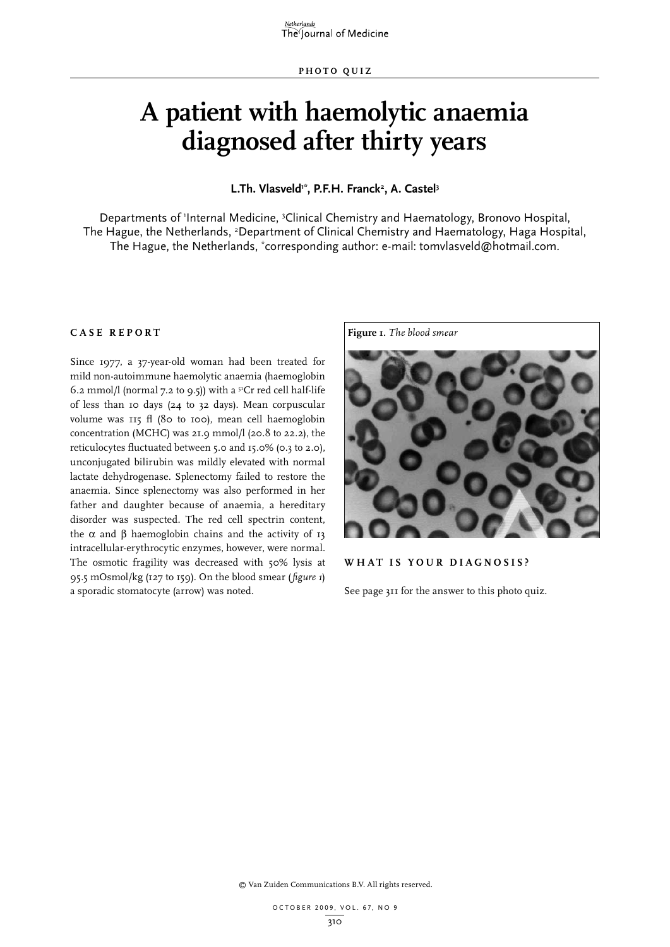# **A patient with haemolytic anaemia diagnosed after thirty years**

L.Th. Vlasveld<sup>1\*</sup>, P.F.H. Franck<sup>2</sup>, A. Castel<sup>3</sup>

Departments of 'Internal Medicine, <sup>3</sup>Clinical Chemistry and Haematology, Bronovo Hospital, The Hague, the Netherlands, <sup>2</sup>Department of Clinical Chemistry and Haematology, Haga Hospital, The Hague, the Netherlands, \* corresponding author: e-mail: tomvlasveld@hotmail.com.

## **Case report**

Since 1977, a 37-year-old woman had been treated for mild non-autoimmune haemolytic anaemia (haemoglobin 6.2 mmol/l (normal 7.2 to 9.5)) with a  $5^{\circ}$ Cr red cell half-life of less than 10 days (24 to 32 days). Mean corpuscular volume was 115 fl (80 to 100), mean cell haemoglobin concentration (MCHC) was 21.9 mmol/l (20.8 to 22.2), the reticulocytes fluctuated between 5.0 and 15.0% (0.3 to 2.0), unconjugated bilirubin was mildly elevated with normal lactate dehydrogenase. Splenectomy failed to restore the anaemia. Since splenectomy was also performed in her father and daughter because of anaemia, a hereditary disorder was suspected. The red cell spectrin content, the  $\alpha$  and  $\beta$  haemoglobin chains and the activity of 13 intracellular-erythrocytic enzymes, however, were normal. The osmotic fragility was decreased with 50% lysis at 95.5 mOsmol/kg (127 to 159). On the blood smear (*figure 1*) a sporadic stomatocyte (arrow) was noted.



## **W hat is your diagnosis?**

See page 311 for the answer to this photo quiz.

© Van Zuiden Communications B.V. All rights reserved.